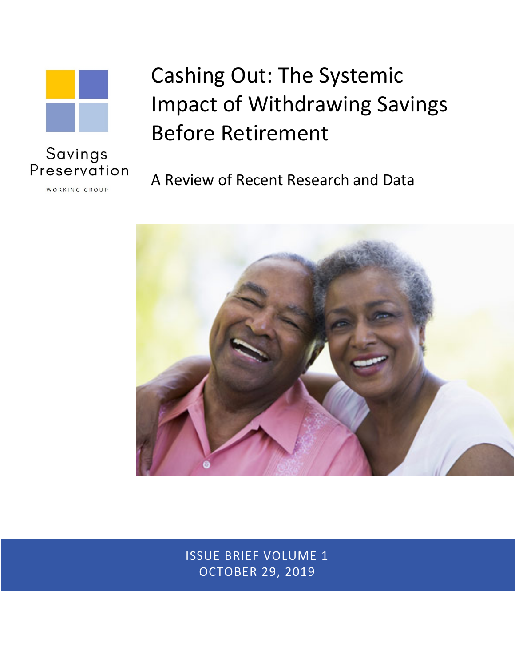

# Cashing Out: The Systemic Impact of Withdrawing Savings Before Retirement

A Review of Recent Research and Data



ISSUE BRIEF VOLUME 1 OCTOBER 29, 2019

Preservation WORKING GROUP

Savings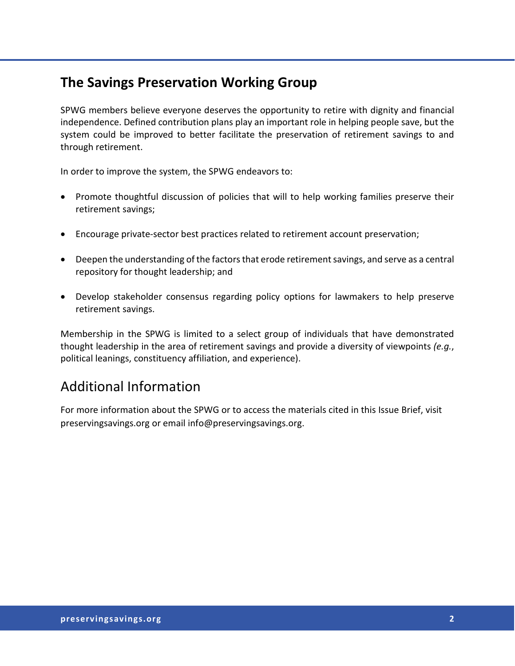### **The Savings Preservation Working Group**

SPWG members believe everyone deserves the opportunity to retire with dignity and financial independence. Defined contribution plans play an important role in helping people save, but the system could be improved to better facilitate the preservation of retirement savings to and through retirement.

In order to improve the system, the SPWG endeavors to:

- Promote thoughtful discussion of policies that will to help working families preserve their retirement savings;
- Encourage private‐sector best practices related to retirement account preservation;
- Deepen the understanding of the factors that erode retirement savings, and serve as a central repository for thought leadership; and
- Develop stakeholder consensus regarding policy options for lawmakers to help preserve retirement savings.

Membership in the SPWG is limited to a select group of individuals that have demonstrated thought leadership in the area of retirement savings and provide a diversity of viewpoints *(e.g.*, political leanings, constituency affiliation, and experience).

# Additional Information

For more information about the SPWG or to access the materials cited in this Issue Brief, visit preservingsavings.org or email info@preservingsavings.org.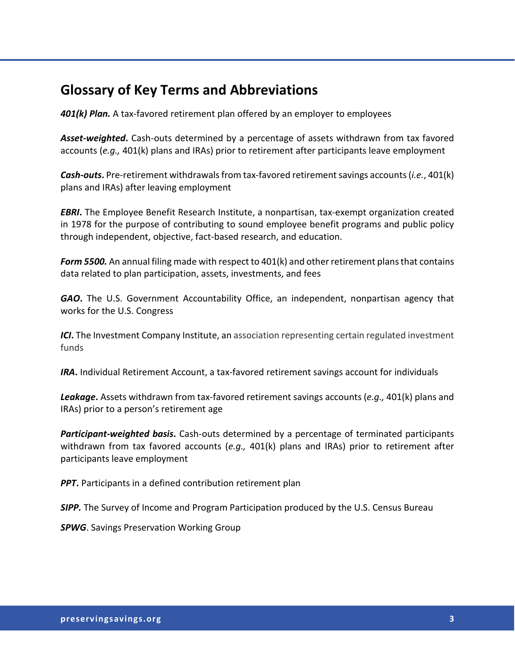### **Glossary of Key Terms and Abbreviations**

*401(k) Plan.* A tax-favored retirement plan offered by an employer to employees

*Asset-weighted***.** Cash-outs determined by a percentage of assets withdrawn from tax favored accounts (*e.g.,* 401(k) plans and IRAs) prior to retirement after participants leave employment

*Cash-outs***.** Pre-retirement withdrawals from tax-favored retirement savings accounts (*i.e.*, 401(k) plans and IRAs) after leaving employment

*EBRI***.** The Employee Benefit Research Institute, a nonpartisan, tax-exempt organization created in 1978 for the purpose of contributing to sound employee benefit programs and public policy through independent, objective, fact-based research, and education.

*Form 5500.* An annual filing made with respect to 401(k) and other retirement plans that contains data related to plan participation, assets, investments, and fees

*GAO***.** The U.S. Government Accountability Office, an independent, nonpartisan agency that works for the U.S. Congress

*ICI***.** The Investment Company Institute, an association representing certain regulated investment funds

*IRA***.** Individual Retirement Account, a tax-favored retirement savings account for individuals

*Leakage***.** Assets withdrawn from tax-favored retirement savings accounts (*e.g.,* 401(k) plans and IRAs) prior to a person's retirement age

*Participant-weighted basis***.** Cash-outs determined by a percentage of terminated participants withdrawn from tax favored accounts (*e.g.,* 401(k) plans and IRAs) prior to retirement after participants leave employment

*PPT***.** Participants in a defined contribution retirement plan

*SIPP.* The Survey of Income and Program Participation produced by the U.S. Census Bureau

*SPWG*. Savings Preservation Working Group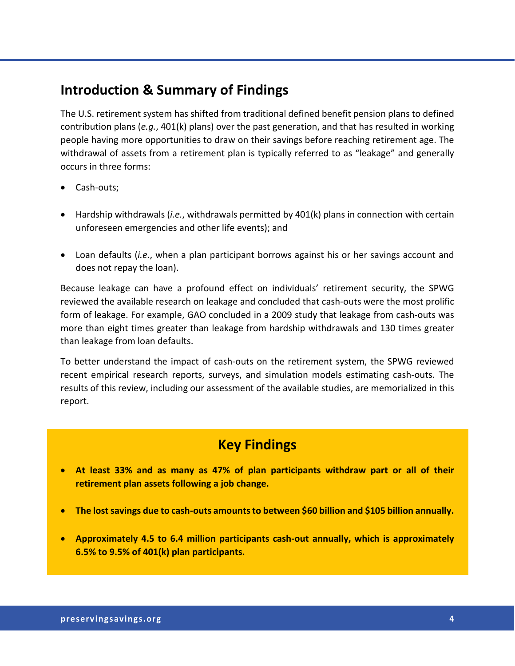### **Introduction & Summary of Findings**

The U.S. retirement system has shifted from traditional defined benefit pension plans to defined contribution plans (*e.g.*, 401(k) plans) over the past generation, and that has resulted in working people having more opportunities to draw on their savings before reaching retirement age. The withdrawal of assets from a retirement plan is typically referred to as "leakage" and generally occurs in three forms:

- Cash-outs;
- Hardship withdrawals (*i.e.*, withdrawals permitted by 401(k) plans in connection with certain unforeseen emergencies and other life events); and
- Loan defaults (*i.e.*, when a plan participant borrows against his or her savings account and does not repay the loan).

Because leakage can have a profound effect on individuals' retirement security, the SPWG reviewed the available research on leakage and concluded that cash-outs were the most prolific form of leakage. For example, GAO concluded in a 2009 study that leakage from cash-outs was more than eight times greater than leakage from hardship withdrawals and 130 times greater than leakage from loan defaults.

To better understand the impact of cash-outs on the retirement system, the SPWG reviewed recent empirical research reports, surveys, and simulation models estimating cash-outs. The results of this review, including our assessment of the available studies, are memorialized in this report.

- **At least 33% and as many as 47% of plan participants withdraw part or all of their retirement plan assets following a job change.**
- **•** The lost savings due to cash-outs amounts to between \$60 billion and \$105 billion annually.
- **Approximately 4.5 to 6.4 million participants cash-out annually, which is approximately 6.5% to 9.5% of 401(k) plan participants.**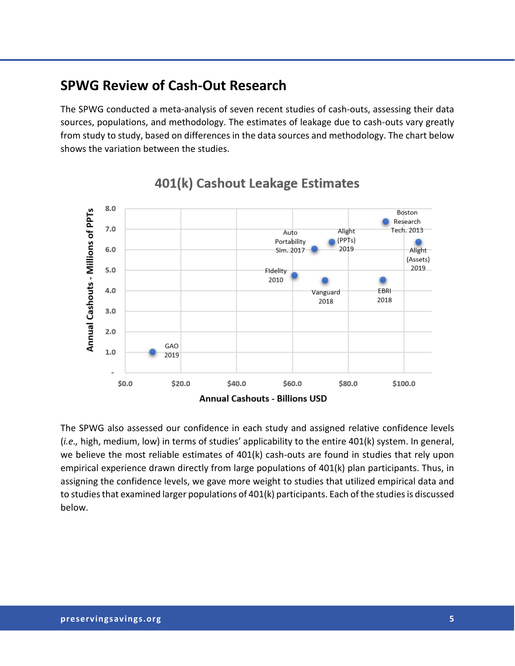### **SPWG Review of Cash-Out Research**

The SPWG conducted a meta-analysis of seven recent studies of cash-outs, assessing their data sources, populations, and methodology. The estimates of leakage due to cash-outs vary greatly from study to study, based on differences in the data sources and methodology. The chart below shows the variation between the studies.



# 401(k) Cashout Leakage Estimates

The SPWG also assessed our confidence in each study and assigned relative confidence levels (*i.e.,* high, medium, low) in terms of studies' applicability to the entire 401(k) system. In general, we believe the most reliable estimates of 401(k) cash-outs are found in studies that rely upon empirical experience drawn directly from large populations of 401(k) plan participants. Thus, in assigning the confidence levels, we gave more weight to studies that utilized empirical data and to studies that examined larger populations of 401(k) participants. Each of the studies is discussed below.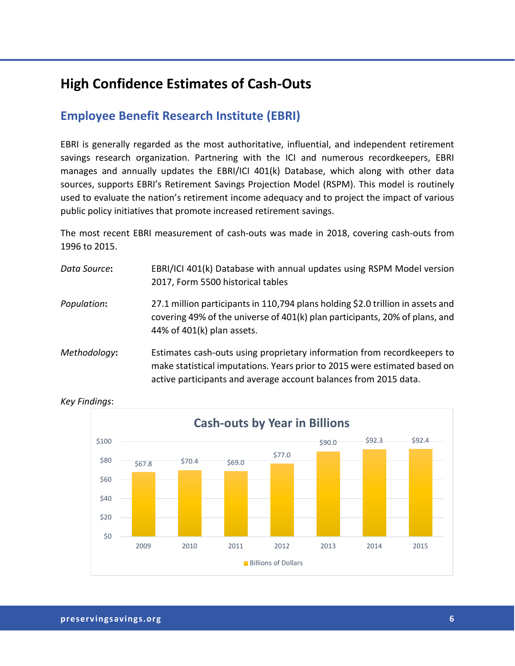# **High Confidence Estimates of Cash-Outs**

### **Employee Benefit Research Institute (EBRI)**

EBRI is generally regarded as the most authoritative, influential, and independent retirement savings research organization. Partnering with the ICI and numerous recordkeepers, EBRI manages and annually updates the EBRI/ICI 401(k) Database, which along with other data sources, supports EBRI's Retirement Savings Projection Model (RSPM). This model is routinely used to evaluate the nation's retirement income adequacy and to project the impact of various public policy initiatives that promote increased retirement savings.

The most recent EBRI measurement of cash-outs was made in 2018, covering cash-outs from 1996 to 2015.

| Data Source: | EBRI/ICI 401(k) Database with annual updates using RSPM Model version<br>2017, Form 5500 historical tables                                                                                   |
|--------------|----------------------------------------------------------------------------------------------------------------------------------------------------------------------------------------------|
| Population:  | 27.1 million participants in 110,794 plans holding \$2.0 trillion in assets and<br>covering 49% of the universe of 401(k) plan participants, 20% of plans, and<br>44% of 401(k) plan assets. |
| Methodology. | Estimates cash-outs using proprietary information from recordkeeners to                                                                                                                      |

*Methodology***:** Estimates cash-outs using proprietary information from recordkeepers to make statistical imputations. Years prior to 2015 were estimated based on active participants and average account balances from 2015 data.

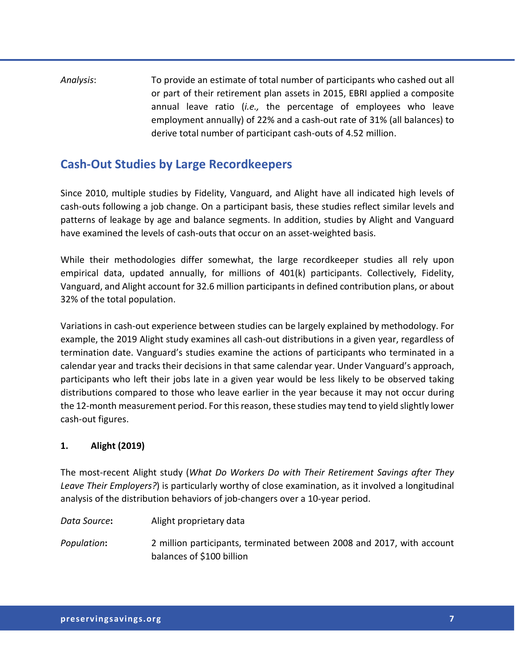### *Analysis*: To provide an estimate of total number of participants who cashed out all or part of their retirement plan assets in 2015, EBRI applied a composite annual leave ratio (*i.e.,* the percentage of employees who leave employment annually) of 22% and a cash-out rate of 31% (all balances) to derive total number of participant cash-outs of 4.52 million.

### **Cash-Out Studies by Large Recordkeepers**

Since 2010, multiple studies by Fidelity, Vanguard, and Alight have all indicated high levels of cash-outs following a job change. On a participant basis, these studies reflect similar levels and patterns of leakage by age and balance segments. In addition, studies by Alight and Vanguard have examined the levels of cash-outs that occur on an asset-weighted basis.

While their methodologies differ somewhat, the large recordkeeper studies all rely upon empirical data, updated annually, for millions of 401(k) participants. Collectively, Fidelity, Vanguard, and Alight account for 32.6 million participants in defined contribution plans, or about 32% of the total population.

Variations in cash-out experience between studies can be largely explained by methodology. For example, the 2019 Alight study examines all cash-out distributions in a given year, regardless of termination date. Vanguard's studies examine the actions of participants who terminated in a calendar year and tracks their decisions in that same calendar year. Under Vanguard's approach, participants who left their jobs late in a given year would be less likely to be observed taking distributions compared to those who leave earlier in the year because it may not occur during the 12-month measurement period. For this reason, these studies may tend to yield slightly lower cash-out figures.

#### **1. Alight (2019)**

The most-recent Alight study (*What Do Workers Do with Their Retirement Savings after They Leave Their Employers?*) is particularly worthy of close examination, as it involved a longitudinal analysis of the distribution behaviors of job-changers over a 10-year period.

*Data Source***:** Alight proprietary data

*Population***:** 2 million participants, terminated between 2008 and 2017, with account balances of \$100 billion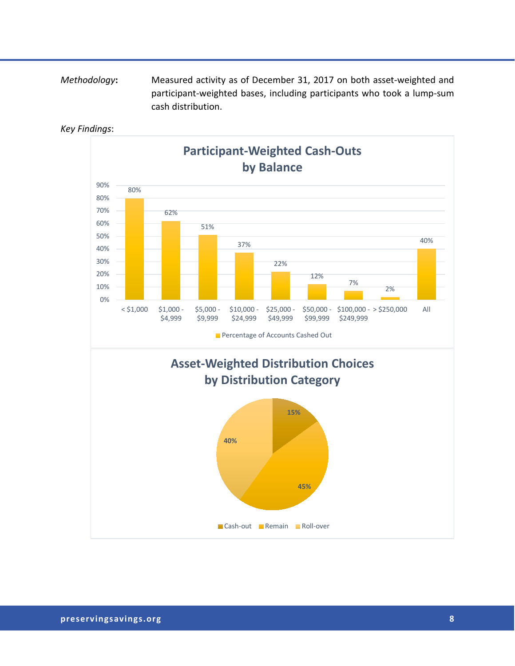#### *Methodology***:** Measured activity as of December 31, 2017 on both asset-weighted and participant-weighted bases, including participants who took a lump-sum cash distribution.

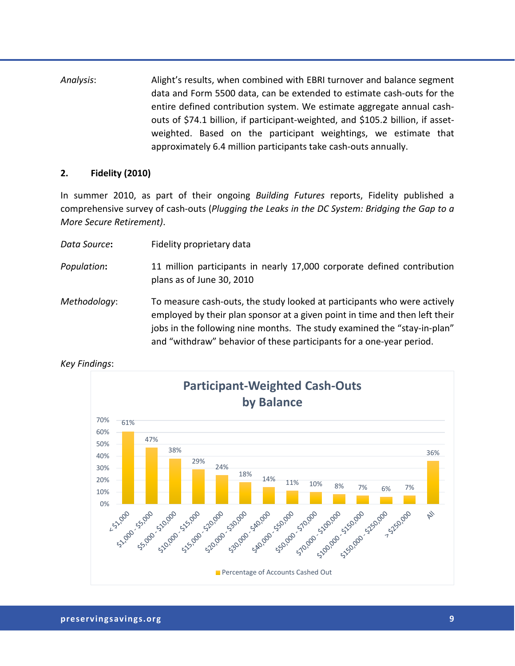*Analysis*: Alight's results, when combined with EBRI turnover and balance segment data and Form 5500 data, can be extended to estimate cash-outs for the entire defined contribution system. We estimate aggregate annual cashouts of \$74.1 billion, if participant-weighted, and \$105.2 billion, if assetweighted. Based on the participant weightings, we estimate that approximately 6.4 million participants take cash-outs annually.

#### **2. Fidelity (2010)**

In summer 2010, as part of their ongoing *Building Futures* reports, Fidelity published a comprehensive survey of cash-outs (*Plugging the Leaks in the DC System: Bridging the Gap to a More Secure Retirement)*.

| Data Source: | Fidelity proprietary data                                                                                                                                                                                                                                                                                   |
|--------------|-------------------------------------------------------------------------------------------------------------------------------------------------------------------------------------------------------------------------------------------------------------------------------------------------------------|
| Population:  | 11 million participants in nearly 17,000 corporate defined contribution<br>plans as of June 30, 2010                                                                                                                                                                                                        |
| Methodology: | To measure cash-outs, the study looked at participants who were actively<br>employed by their plan sponsor at a given point in time and then left their<br>jobs in the following nine months. The study examined the "stay-in-plan"<br>and "withdraw" behavior of these participants for a one-year period. |



*Key Findings*: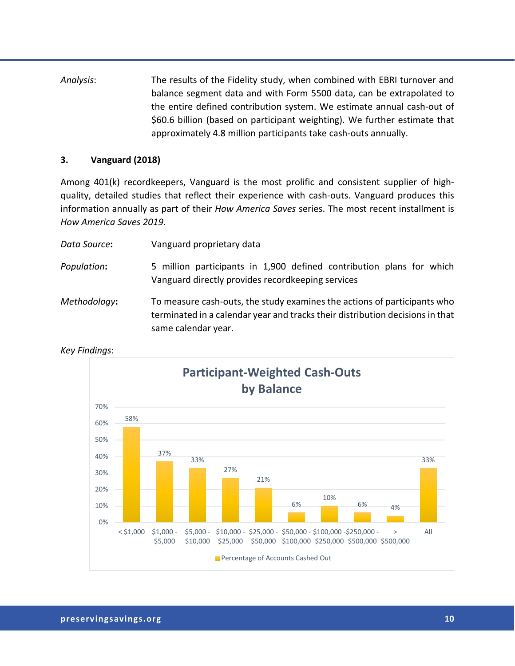*Analysis*: The results of the Fidelity study, when combined with EBRI turnover and balance segment data and with Form 5500 data, can be extrapolated to the entire defined contribution system. We estimate annual cash-out of \$60.6 billion (based on participant weighting). We further estimate that approximately 4.8 million participants take cash-outs annually.

#### **3. Vanguard (2018)**

Among 401(k) recordkeepers, Vanguard is the most prolific and consistent supplier of highquality, detailed studies that reflect their experience with cash-outs. Vanguard produces this information annually as part of their *How America Saves* series. The most recent installment is *How America Saves 2019*.

| Data Source: | Vanguard proprietary data                                                                                                                                                        |
|--------------|----------------------------------------------------------------------------------------------------------------------------------------------------------------------------------|
| Population:  | 5 million participants in 1,900 defined contribution plans for which<br>Vanguard directly provides recordkeeping services                                                        |
| Methodology: | To measure cash-outs, the study examines the actions of participants who<br>terminated in a calendar year and tracks their distribution decisions in that<br>same calendar year. |

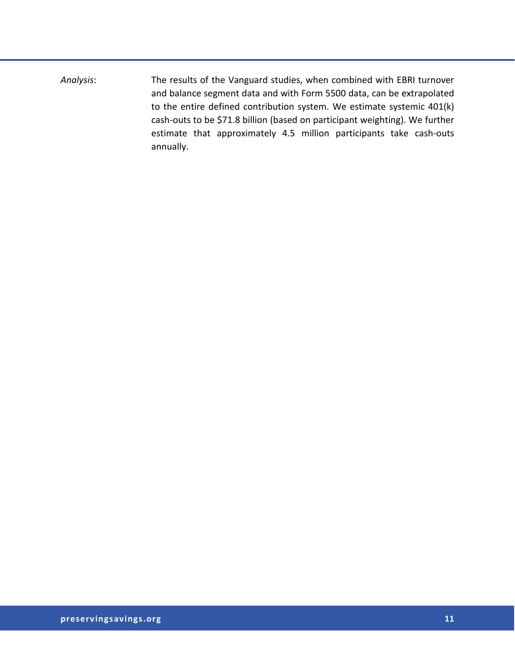*Analysis*: The results of the Vanguard studies, when combined with EBRI turnover and balance segment data and with Form 5500 data, can be extrapolated to the entire defined contribution system. We estimate systemic 401(k) cash-outs to be \$71.8 billion (based on participant weighting). We further estimate that approximately 4.5 million participants take cash-outs annually.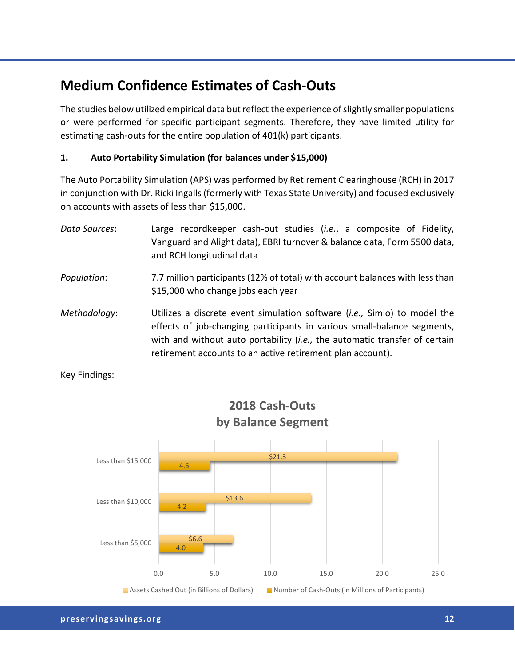# **Medium Confidence Estimates of Cash-Outs**

The studies below utilized empirical data but reflect the experience of slightly smaller populations or were performed for specific participant segments. Therefore, they have limited utility for estimating cash-outs for the entire population of 401(k) participants.

#### **1. Auto Portability Simulation (for balances under \$15,000)**

The Auto Portability Simulation (APS) was performed by Retirement Clearinghouse (RCH) in 2017 in conjunction with Dr. Ricki Ingalls(formerly with Texas State University) and focused exclusively on accounts with assets of less than \$15,000.

*Data Sources*: Large recordkeeper cash-out studies (*i.e.*, a composite of Fidelity, Vanguard and Alight data), EBRI turnover & balance data, Form 5500 data, and RCH longitudinal data *Population*: 7.7 million participants (12% of total) with account balances with less than \$15,000 who change jobs each year *Methodology*: Utilizes a discrete event simulation software (*i.e.,* Simio) to model the effects of job-changing participants in various small-balance segments, with and without auto portability (*i.e.,* the automatic transfer of certain retirement accounts to an active retirement plan account).

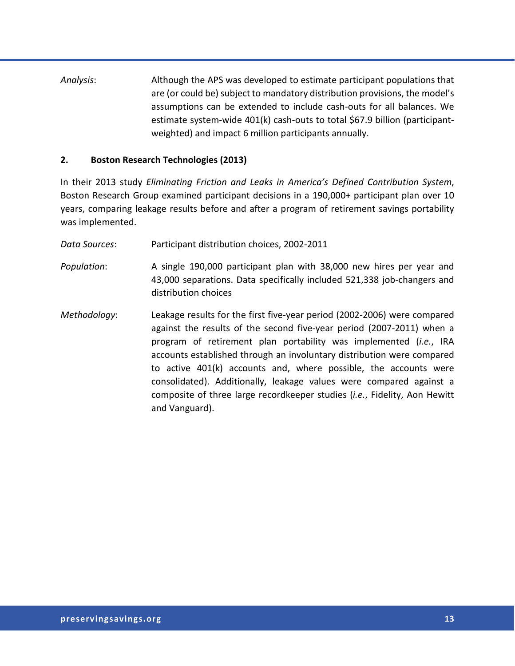*Analysis*: Although the APS was developed to estimate participant populations that are (or could be) subject to mandatory distribution provisions, the model's assumptions can be extended to include cash-outs for all balances. We estimate system-wide 401(k) cash-outs to total \$67.9 billion (participantweighted) and impact 6 million participants annually.

#### **2. Boston Research Technologies (2013)**

In their 2013 study *Eliminating Friction and Leaks in America's Defined Contribution System*, Boston Research Group examined participant decisions in a 190,000+ participant plan over 10 years, comparing leakage results before and after a program of retirement savings portability was implemented.

*Data Sources*: Participant distribution choices, 2002-2011

*Population*: A single 190,000 participant plan with 38,000 new hires per year and 43,000 separations. Data specifically included 521,338 job-changers and distribution choices

*Methodology*: Leakage results for the first five-year period (2002-2006) were compared against the results of the second five-year period (2007-2011) when a program of retirement plan portability was implemented (*i.e.*, IRA accounts established through an involuntary distribution were compared to active 401(k) accounts and, where possible, the accounts were consolidated). Additionally, leakage values were compared against a composite of three large recordkeeper studies (*i.e.*, Fidelity, Aon Hewitt and Vanguard).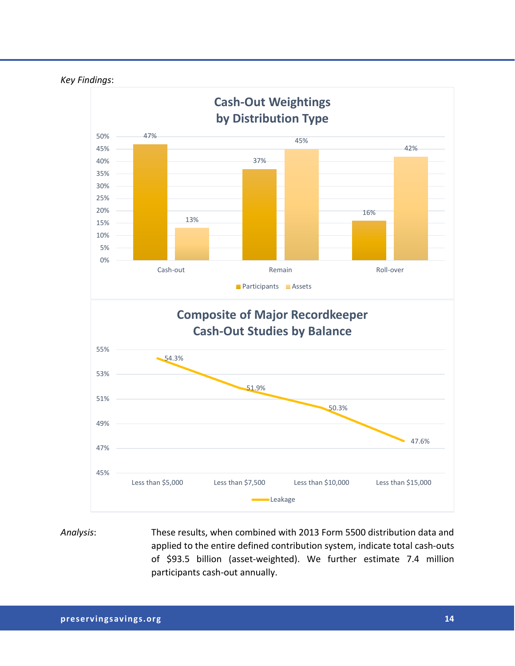

*Analysis*: These results, when combined with 2013 Form 5500 distribution data and applied to the entire defined contribution system, indicate total cash-outs of \$93.5 billion (asset-weighted). We further estimate 7.4 million participants cash-out annually.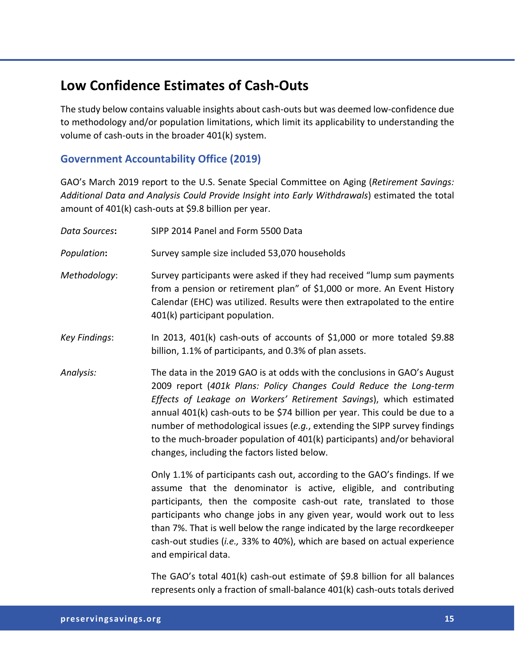# **Low Confidence Estimates of Cash-Outs**

The study below contains valuable insights about cash-outs but was deemed low-confidence due to methodology and/or population limitations, which limit its applicability to understanding the volume of cash-outs in the broader 401(k) system.

#### **Government Accountability Office (2019)**

GAO's March 2019 report to the U.S. Senate Special Committee on Aging (*Retirement Savings: Additional Data and Analysis Could Provide Insight into Early Withdrawals*) estimated the total amount of 401(k) cash-outs at \$9.8 billion per year.

| Data Sources:        | SIPP 2014 Panel and Form 5500 Data                                                                                                                                                                                                                                                                                                                                                                                                                                                                            |
|----------------------|---------------------------------------------------------------------------------------------------------------------------------------------------------------------------------------------------------------------------------------------------------------------------------------------------------------------------------------------------------------------------------------------------------------------------------------------------------------------------------------------------------------|
| Population:          | Survey sample size included 53,070 households                                                                                                                                                                                                                                                                                                                                                                                                                                                                 |
| Methodology:         | Survey participants were asked if they had received "lump sum payments"<br>from a pension or retirement plan" of \$1,000 or more. An Event History<br>Calendar (EHC) was utilized. Results were then extrapolated to the entire<br>401(k) participant population.                                                                                                                                                                                                                                             |
| <b>Key Findings:</b> | In 2013, 401(k) cash-outs of accounts of \$1,000 or more totaled \$9.88<br>billion, 1.1% of participants, and 0.3% of plan assets.                                                                                                                                                                                                                                                                                                                                                                            |
| Analysis:            | The data in the 2019 GAO is at odds with the conclusions in GAO's August<br>2009 report (401k Plans: Policy Changes Could Reduce the Long-term<br>Effects of Leakage on Workers' Retirement Savings), which estimated<br>annual 401(k) cash-outs to be \$74 billion per year. This could be due to a<br>number of methodological issues (e.g., extending the SIPP survey findings<br>to the much-broader population of 401(k) participants) and/or behavioral<br>changes, including the factors listed below. |
|                      | Only 1.1% of participants cash out, according to the GAO's findings. If we<br>assume that the denominator is active, eligible, and contributing<br>participants, then the composite cash-out rate, translated to those<br>participants who change jobs in any given year, would work out to less<br>than 7%. That is well below the range indicated by the large recordkeeper<br>cash-out studies (i.e., 33% to 40%), which are based on actual experience<br>and empirical data.                             |
|                      | The GAO's total 401(k) cash-out estimate of \$9.8 billion for all balances                                                                                                                                                                                                                                                                                                                                                                                                                                    |

represents only a fraction of small-balance 401(k) cash-outs totals derived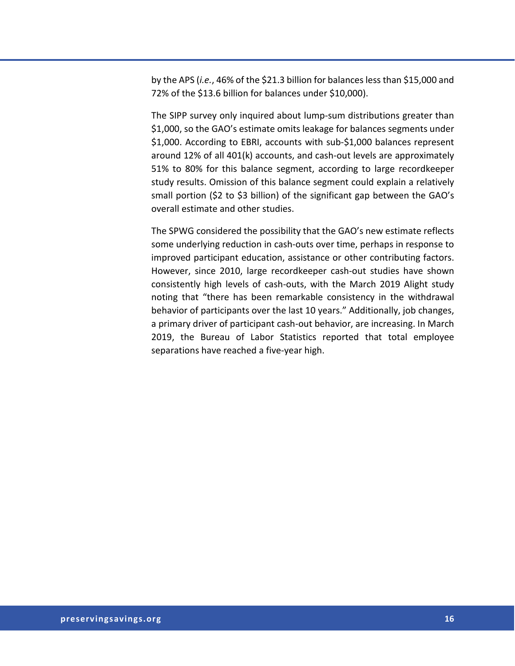by the APS (*i.e.*, 46% of the \$21.3 billion for balances less than \$15,000 and 72% of the \$13.6 billion for balances under \$10,000).

The SIPP survey only inquired about lump-sum distributions greater than \$1,000, so the GAO's estimate omits leakage for balances segments under \$1,000. According to EBRI, accounts with sub-\$1,000 balances represent around 12% of all 401(k) accounts, and cash-out levels are approximately 51% to 80% for this balance segment, according to large recordkeeper study results. Omission of this balance segment could explain a relatively small portion (\$2 to \$3 billion) of the significant gap between the GAO's overall estimate and other studies.

The SPWG considered the possibility that the GAO's new estimate reflects some underlying reduction in cash-outs over time, perhaps in response to improved participant education, assistance or other contributing factors. However, since 2010, large recordkeeper cash-out studies have shown consistently high levels of cash-outs, with the March 2019 Alight study noting that "there has been remarkable consistency in the withdrawal behavior of participants over the last 10 years." Additionally, job changes, a primary driver of participant cash-out behavior, are increasing. In March 2019, the Bureau of Labor Statistics reported that total employee separations have reached a five-year high.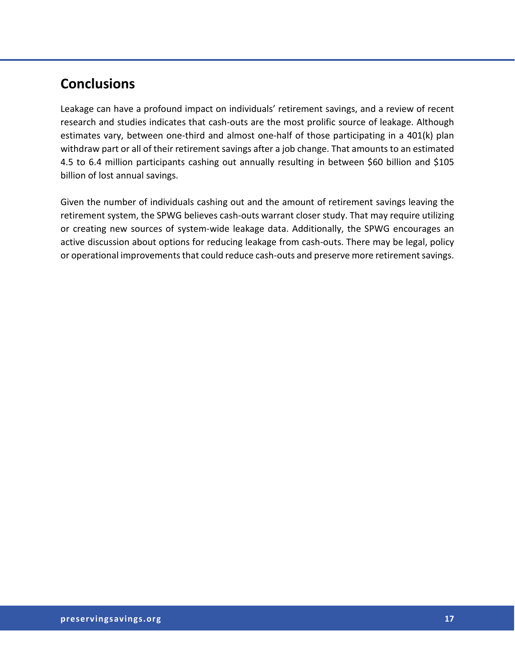# **Conclusions**

Leakage can have a profound impact on individuals' retirement savings, and a review of recent research and studies indicates that cash-outs are the most prolific source of leakage. Although estimates vary, between one-third and almost one-half of those participating in a 401(k) plan withdraw part or all of their retirement savings after a job change. That amounts to an estimated 4.5 to 6.4 million participants cashing out annually resulting in between \$60 billion and \$105 billion of lost annual savings.

Given the number of individuals cashing out and the amount of retirement savings leaving the retirement system, the SPWG believes cash-outs warrant closer study. That may require utilizing or creating new sources of system-wide leakage data. Additionally, the SPWG encourages an active discussion about options for reducing leakage from cash-outs. There may be legal, policy or operational improvements that could reduce cash-outs and preserve more retirement savings.